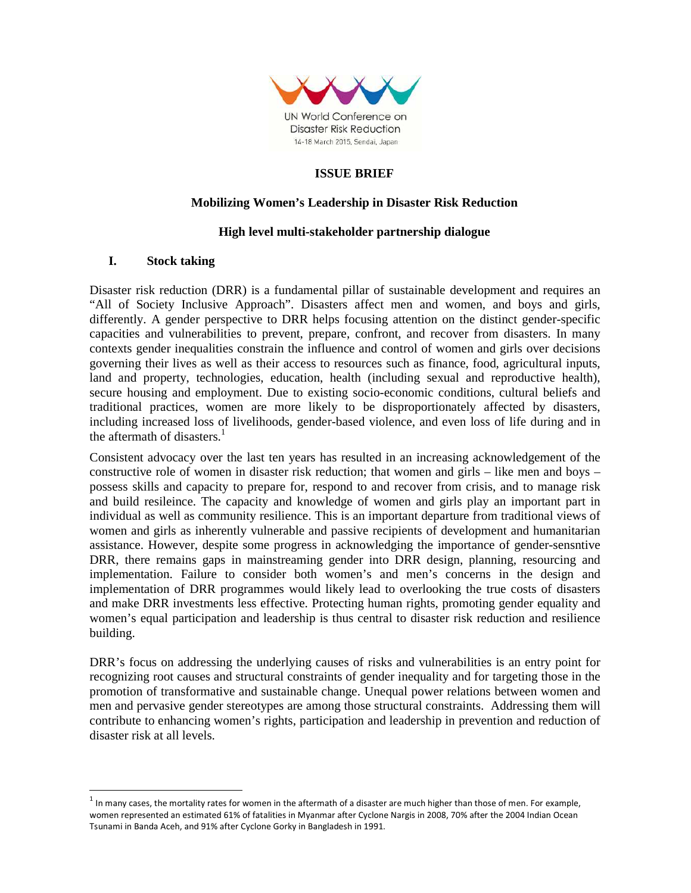

## **ISSUE BRIEF**

#### **Mobilizing Women's Leadership in Disaster Risk Reduction**

#### **High level multi-stakeholder partnership dialogue**

#### **I. Stock taking**

 $\overline{a}$ 

Disaster risk reduction (DRR) is a fundamental pillar of sustainable development and requires an "All of Society Inclusive Approach". Disasters affect men and women, and boys and girls, differently. A gender perspective to DRR helps focusing attention on the distinct gender-specific capacities and vulnerabilities to prevent, prepare, confront, and recover from disasters. In many contexts gender inequalities constrain the influence and control of women and girls over decisions governing their lives as well as their access to resources such as finance, food, agricultural inputs, land and property, technologies, education, health (including sexual and reproductive health), secure housing and employment. Due to existing socio-economic conditions, cultural beliefs and traditional practices, women are more likely to be disproportionately affected by disasters, including increased loss of livelihoods, gender-based violence, and even loss of life during and in the aftermath of disasters. $<sup>1</sup>$ </sup>

Consistent advocacy over the last ten years has resulted in an increasing acknowledgement of the constructive role of women in disaster risk reduction; that women and girls – like men and boys – possess skills and capacity to prepare for, respond to and recover from crisis, and to manage risk and build resileince. The capacity and knowledge of women and girls play an important part in individual as well as community resilience. This is an important departure from traditional views of women and girls as inherently vulnerable and passive recipients of development and humanitarian assistance. However, despite some progress in acknowledging the importance of gender-sensntive DRR, there remains gaps in mainstreaming gender into DRR design, planning, resourcing and implementation. Failure to consider both women's and men's concerns in the design and implementation of DRR programmes would likely lead to overlooking the true costs of disasters and make DRR investments less effective. Protecting human rights, promoting gender equality and women's equal participation and leadership is thus central to disaster risk reduction and resilience building.

DRR's focus on addressing the underlying causes of risks and vulnerabilities is an entry point for recognizing root causes and structural constraints of gender inequality and for targeting those in the promotion of transformative and sustainable change. Unequal power relations between women and men and pervasive gender stereotypes are among those structural constraints. Addressing them will contribute to enhancing women's rights, participation and leadership in prevention and reduction of disaster risk at all levels.

 $^1$  In many cases, the mortality rates for women in the aftermath of a disaster are much higher than those of men. For example, women represented an estimated 61% of fatalities in Myanmar after Cyclone Nargis in 2008, 70% after the 2004 Indian Ocean Tsunami in Banda Aceh, and 91% after Cyclone Gorky in Bangladesh in 1991.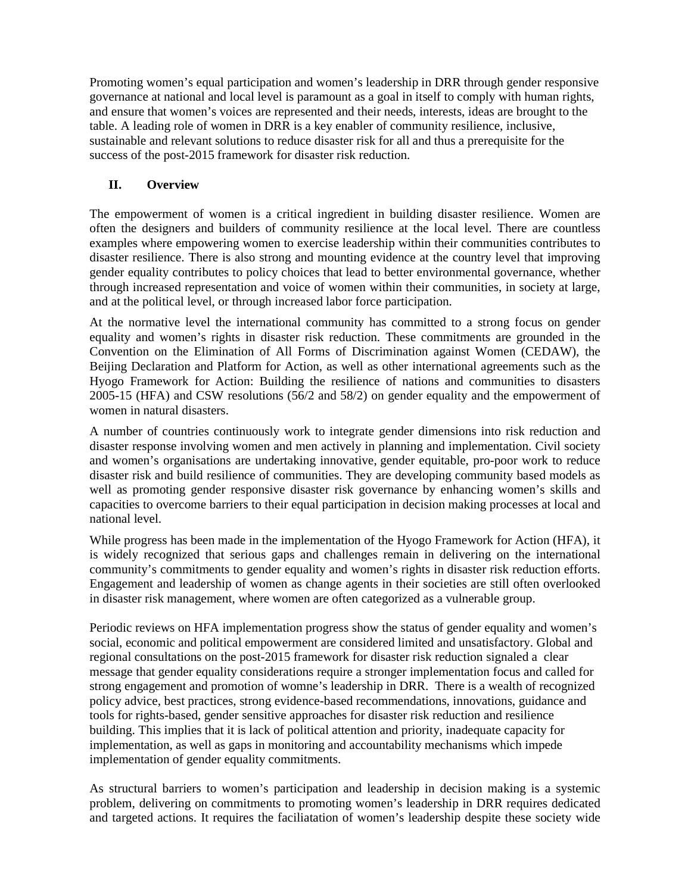Promoting women's equal participation and women's leadership in DRR through gender responsive governance at national and local level is paramount as a goal in itself to comply with human rights, and ensure that women's voices are represented and their needs, interests, ideas are brought to the table. A leading role of women in DRR is a key enabler of community resilience, inclusive, sustainable and relevant solutions to reduce disaster risk for all and thus a prerequisite for the success of the post-2015 framework for disaster risk reduction.

# **II. Overview**

The empowerment of women is a critical ingredient in building disaster resilience. Women are often the designers and builders of community resilience at the local level. There are countless examples where empowering women to exercise leadership within their communities contributes to disaster resilience. There is also strong and mounting evidence at the country level that improving gender equality contributes to policy choices that lead to better environmental governance, whether through increased representation and voice of women within their communities, in society at large, and at the political level, or through increased labor force participation.

At the normative level the international community has committed to a strong focus on gender equality and women's rights in disaster risk reduction. These commitments are grounded in the Convention on the Elimination of All Forms of Discrimination against Women (CEDAW), the Beijing Declaration and Platform for Action, as well as other international agreements such as the Hyogo Framework for Action: Building the resilience of nations and communities to disasters 2005-15 (HFA) and CSW resolutions (56/2 and 58/2) on gender equality and the empowerment of women in natural disasters.

A number of countries continuously work to integrate gender dimensions into risk reduction and disaster response involving women and men actively in planning and implementation. Civil society and women's organisations are undertaking innovative, gender equitable, pro-poor work to reduce disaster risk and build resilience of communities. They are developing community based models as well as promoting gender responsive disaster risk governance by enhancing women's skills and capacities to overcome barriers to their equal participation in decision making processes at local and national level.

While progress has been made in the implementation of the Hyogo Framework for Action (HFA), it is widely recognized that serious gaps and challenges remain in delivering on the international community's commitments to gender equality and women's rights in disaster risk reduction efforts. Engagement and leadership of women as change agents in their societies are still often overlooked in disaster risk management, where women are often categorized as a vulnerable group.

Periodic reviews on HFA implementation progress show the status of gender equality and women's social, economic and political empowerment are considered limited and unsatisfactory. Global and regional consultations on the post-2015 framework for disaster risk reduction signaled a clear message that gender equality considerations require a stronger implementation focus and called for strong engagement and promotion of womne's leadership in DRR. There is a wealth of recognized policy advice, best practices, strong evidence-based recommendations, innovations, guidance and tools for rights-based, gender sensitive approaches for disaster risk reduction and resilience building. This implies that it is lack of political attention and priority, inadequate capacity for implementation, as well as gaps in monitoring and accountability mechanisms which impede implementation of gender equality commitments.

As structural barriers to women's participation and leadership in decision making is a systemic problem, delivering on commitments to promoting women's leadership in DRR requires dedicated and targeted actions. It requires the faciliatation of women's leadership despite these society wide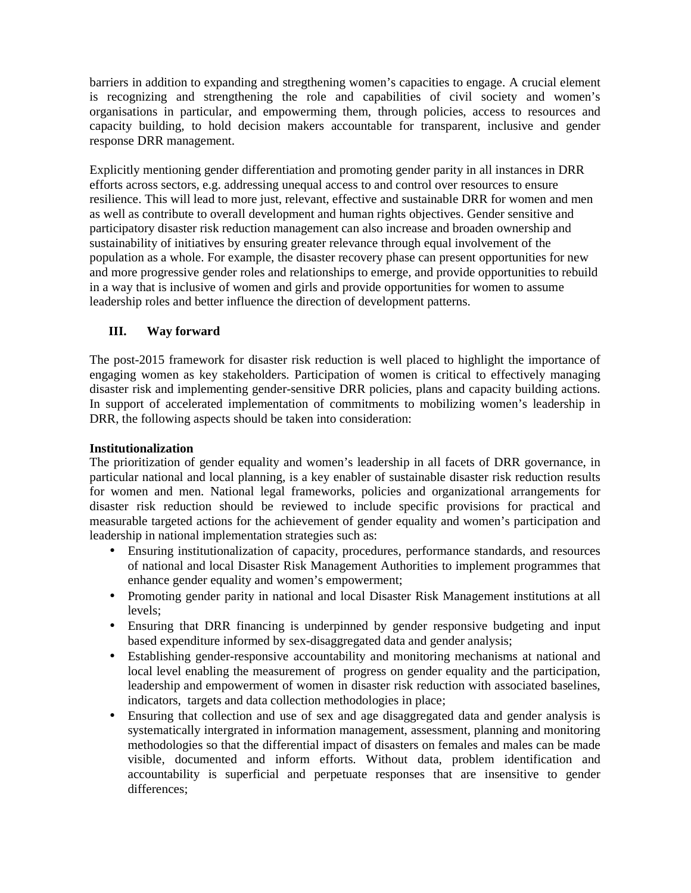barriers in addition to expanding and stregthening women's capacities to engage. A crucial element is recognizing and strengthening the role and capabilities of civil society and women's organisations in particular, and empowerming them, through policies, access to resources and capacity building, to hold decision makers accountable for transparent, inclusive and gender response DRR management.

Explicitly mentioning gender differentiation and promoting gender parity in all instances in DRR efforts across sectors, e.g. addressing unequal access to and control over resources to ensure resilience. This will lead to more just, relevant, effective and sustainable DRR for women and men as well as contribute to overall development and human rights objectives. Gender sensitive and participatory disaster risk reduction management can also increase and broaden ownership and sustainability of initiatives by ensuring greater relevance through equal involvement of the population as a whole. For example, the disaster recovery phase can present opportunities for new and more progressive gender roles and relationships to emerge, and provide opportunities to rebuild in a way that is inclusive of women and girls and provide opportunities for women to assume leadership roles and better influence the direction of development patterns.

### **III. Way forward**

The post-2015 framework for disaster risk reduction is well placed to highlight the importance of engaging women as key stakeholders. Participation of women is critical to effectively managing disaster risk and implementing gender-sensitive DRR policies, plans and capacity building actions. In support of accelerated implementation of commitments to mobilizing women's leadership in DRR, the following aspects should be taken into consideration:

### **Institutionalization**

The prioritization of gender equality and women's leadership in all facets of DRR governance, in particular national and local planning, is a key enabler of sustainable disaster risk reduction results for women and men. National legal frameworks, policies and organizational arrangements for disaster risk reduction should be reviewed to include specific provisions for practical and measurable targeted actions for the achievement of gender equality and women's participation and leadership in national implementation strategies such as:

- Ensuring institutionalization of capacity, procedures, performance standards, and resources of national and local Disaster Risk Management Authorities to implement programmes that enhance gender equality and women's empowerment;
- Promoting gender parity in national and local Disaster Risk Management institutions at all levels;
- Ensuring that DRR financing is underpinned by gender responsive budgeting and input based expenditure informed by sex-disaggregated data and gender analysis;
- Establishing gender-responsive accountability and monitoring mechanisms at national and local level enabling the measurement of progress on gender equality and the participation, leadership and empowerment of women in disaster risk reduction with associated baselines, indicators, targets and data collection methodologies in place;
- Ensuring that collection and use of sex and age disaggregated data and gender analysis is systematically intergrated in information management, assessment, planning and monitoring methodologies so that the differential impact of disasters on females and males can be made visible, documented and inform efforts. Without data, problem identification and accountability is superficial and perpetuate responses that are insensitive to gender differences;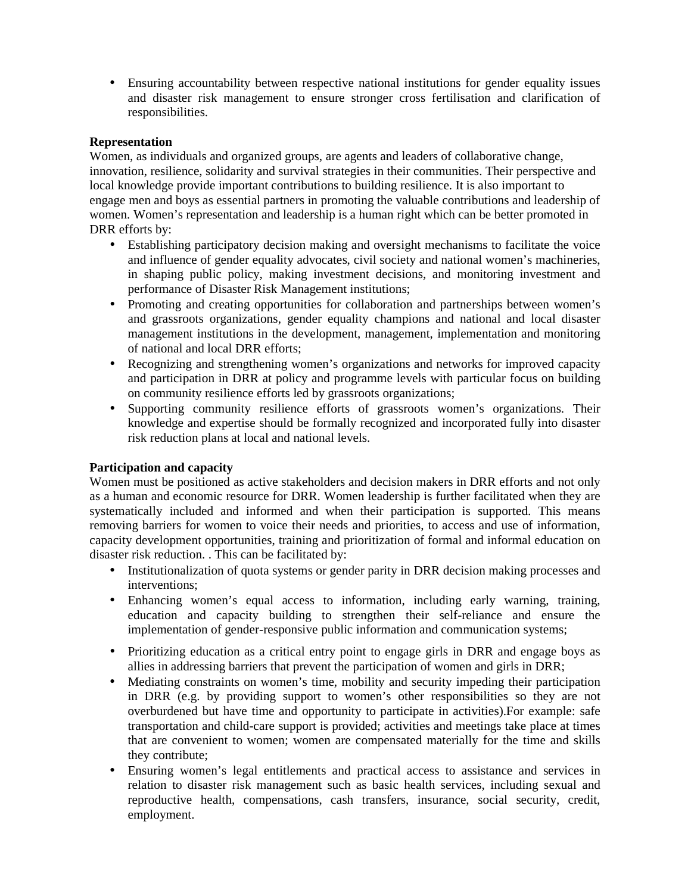• Ensuring accountability between respective national institutions for gender equality issues and disaster risk management to ensure stronger cross fertilisation and clarification of responsibilities.

#### **Representation**

Women, as individuals and organized groups, are agents and leaders of collaborative change, innovation, resilience, solidarity and survival strategies in their communities. Their perspective and local knowledge provide important contributions to building resilience. It is also important to engage men and boys as essential partners in promoting the valuable contributions and leadership of women. Women's representation and leadership is a human right which can be better promoted in DRR efforts by:

- Establishing participatory decision making and oversight mechanisms to facilitate the voice and influence of gender equality advocates, civil society and national women's machineries, in shaping public policy, making investment decisions, and monitoring investment and performance of Disaster Risk Management institutions;
- Promoting and creating opportunities for collaboration and partnerships between women's and grassroots organizations, gender equality champions and national and local disaster management institutions in the development, management, implementation and monitoring of national and local DRR efforts;
- Recognizing and strengthening women's organizations and networks for improved capacity and participation in DRR at policy and programme levels with particular focus on building on community resilience efforts led by grassroots organizations;
- Supporting community resilience efforts of grassroots women's organizations. Their knowledge and expertise should be formally recognized and incorporated fully into disaster risk reduction plans at local and national levels.

### **Participation and capacity**

Women must be positioned as active stakeholders and decision makers in DRR efforts and not only as a human and economic resource for DRR. Women leadership is further facilitated when they are systematically included and informed and when their participation is supported. This means removing barriers for women to voice their needs and priorities, to access and use of information, capacity development opportunities, training and prioritization of formal and informal education on disaster risk reduction. . This can be facilitated by:

- Institutionalization of quota systems or gender parity in DRR decision making processes and interventions;
- Enhancing women's equal access to information, including early warning, training, education and capacity building to strengthen their self-reliance and ensure the implementation of gender-responsive public information and communication systems;
- Prioritizing education as a critical entry point to engage girls in DRR and engage boys as allies in addressing barriers that prevent the participation of women and girls in DRR;
- Mediating constraints on women's time, mobility and security impeding their participation in DRR (e.g. by providing support to women's other responsibilities so they are not overburdened but have time and opportunity to participate in activities).For example: safe transportation and child-care support is provided; activities and meetings take place at times that are convenient to women; women are compensated materially for the time and skills they contribute;
- Ensuring women's legal entitlements and practical access to assistance and services in relation to disaster risk management such as basic health services, including sexual and reproductive health, compensations, cash transfers, insurance, social security, credit, employment.